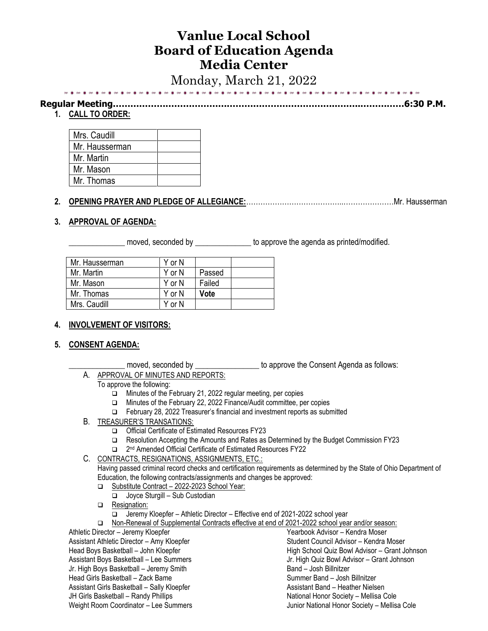# **Vanlue Local School Board of Education Agenda Media Center**

Monday, March 21, 2022

| 1、"我的,我的是你要你要的事的事的是你的,我的是你要你要你要的事的事实是你要的事的事实要的事实是你要的事实是你。" |
|------------------------------------------------------------|
|                                                            |

**Regular Meeting…………………………………………………………………..……..……………6:30 P.M.**

## **1. CALL TO ORDER:**

| Mrs. Caudill   |  |
|----------------|--|
| Mr. Hausserman |  |
| Mr. Martin     |  |
| Mr. Mason      |  |
| Mr. Thomas     |  |

## **2. OPENING PRAYER AND PLEDGE OF ALLEGIANCE:**…………………………………..…………………Mr. Hausserman

### **3. APPROVAL OF AGENDA:**

moved, seconded by **Example 20** to approve the agenda as printed/modified.

| Mr. Hausserman | Y or N |        |  |
|----------------|--------|--------|--|
| Mr. Martin     | Y or N | Passed |  |
| Mr. Mason      | Y or N | Failed |  |
| Mr. Thomas     | Y or N | Vote   |  |
| Mrs. Caudill   | Y or N |        |  |
|                |        |        |  |

## **4. INVOLVEMENT OF VISITORS:**

#### **5. CONSENT AGENDA:**

moved, seconded by **Example 20** to approve the Consent Agenda as follows:

A. APPROVAL OF MINUTES AND REPORTS:

#### To approve the following:

- ❑ Minutes of the February 21, 2022 regular meeting, per copies
- ❑ Minutes of the February 22, 2022 Finance/Audit committee, per copies
- ❑ February 28, 2022 Treasurer's financial and investment reports as submitted
- B. TREASURER'S TRANSATIONS:
	- ❑ Official Certificate of Estimated Resources FY23
	- ❑ Resolution Accepting the Amounts and Rates as Determined by the Budget Commission FY23
	- □ 2<sup>nd</sup> Amended Official Certificate of Estimated Resources FY22
- C. CONTRACTS, RESIGNATIONS, ASSIGNMENTS, ETC.:

Having passed criminal record checks and certification requirements as determined by the State of Ohio Department of Education, the following contracts/assignments and changes be approved:

- ❑ Substitute Contract 2022-2023 School Year:
	- ❑ Joyce Sturgill Sub Custodian
- □ Resignation:

| Jeremy Kloepfer - Athletic Director - Effective end of 2021-2022 school year                   |
|------------------------------------------------------------------------------------------------|
| Non-Renewal of Supplemental Contracts effective at end of 2021-2022 school year and/or season: |
| Yearbook Advisor – Kendra Moser                                                                |
| Student Council Advisor - Kendra Moser                                                         |
| High School Quiz Bowl Advisor - Grant Johnson                                                  |
| Jr. High Quiz Bowl Advisor - Grant Johnson                                                     |
| Band - Josh Billnitzer                                                                         |
| Summer Band - Josh Billnitzer                                                                  |
| Assistant Band - Heather Nielsen                                                               |
| National Honor Society - Mellisa Cole                                                          |
| Junior National Honor Society - Mellisa Cole                                                   |
|                                                                                                |
|                                                                                                |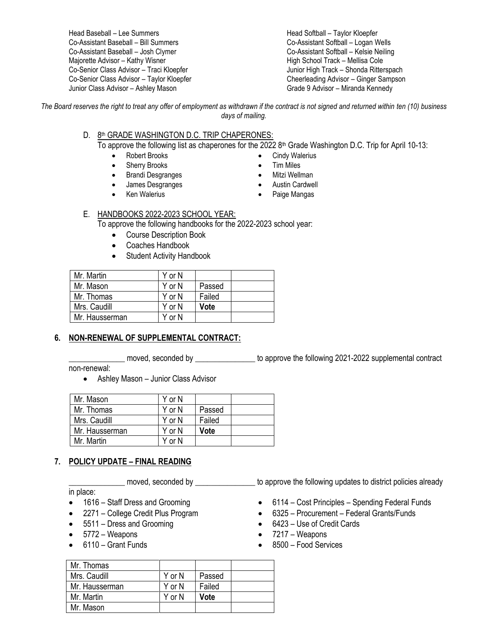Head Baseball – Lee Summers Co-Assistant Baseball – Bill Summers Co-Assistant Baseball – Josh Clymer Majorette Advisor – Kathy Wisner Co-Senior Class Advisor – Traci Kloepfer Co-Senior Class Advisor – Taylor Kloepfer Junior Class Advisor – Ashley Mason

Head Softball – Taylor Kloepfer Co-Assistant Softball – Logan Wells Co-Assistant Softball – Kelsie Neiling High School Track – Mellisa Cole Junior High Track – Shonda Ritterspach Cheerleading Advisor – Ginger Sampson Grade 9 Advisor – Miranda Kennedy

*The Board reserves the right to treat any offer of employment as withdrawn if the contract is not signed and returned within ten (10) business days of mailing.*

#### D. 8th GRADE WASHINGTON D.C. TRIP CHAPERONES:

To approve the following list as chaperones for the 2022 8<sup>th</sup> Grade Washington D.C. Trip for April 10-13:

- Robert Brooks
- Sherry Brooks
- Brandi Desgranges
- James Desgranges
- Ken Walerius
- Cindy Walerius • Tim Miles
- Mitzi Wellman
- Austin Cardwell
- Paige Mangas

## E. HANDBOOKS 2022-2023 SCHOOL YEAR:

To approve the following handbooks for the 2022-2023 school year:

- Course Description Book
- Coaches Handbook
- Student Activity Handbook

| Mr. Martin     | Y or N |        |  |
|----------------|--------|--------|--|
| Mr. Mason      | Y or N | Passed |  |
| Mr. Thomas     | Y or N | Failed |  |
| Mrs. Caudill   | Y or N | Vote   |  |
| Mr. Hausserman | Y or N |        |  |

## **6. NON-RENEWAL OF SUPPLEMENTAL CONTRACT:**

\_\_\_\_\_\_\_\_\_\_\_\_\_\_ moved, seconded by \_\_\_\_\_\_\_\_\_\_\_\_\_\_\_ to approve the following 2021-2022 supplemental contract

non-renewal:

• Ashley Mason – Junior Class Advisor

| Mr. Mason      | Y or N |        |  |
|----------------|--------|--------|--|
| Mr. Thomas     | Y or N | Passed |  |
| Mrs. Caudill   | Y or N | Failed |  |
| Mr. Hausserman | Y or N | Vote   |  |
| Mr. Martin     | Y or N |        |  |

#### **7. POLICY UPDATE – FINAL READING**

in place:

- 1616 Staff Dress and Grooming
- 2271 College Credit Plus Program
- 5511 Dress and Grooming
- 5772 Weapons
- 6110 Grant Funds
- \_\_\_\_\_\_\_\_\_\_\_\_\_\_ moved, seconded by \_\_\_\_\_\_\_\_\_\_\_\_\_\_\_ to approve the following updates to district policies already
	- 6114 Cost Principles Spending Federal Funds
	- 6325 Procurement Federal Grants/Funds
	- 6423 Use of Credit Cards
	- 7217 Weapons
	- 8500 Food Services

| Mr. Thomas     |        |        |  |
|----------------|--------|--------|--|
| Mrs. Caudill   | Y or N | Passed |  |
| Mr. Hausserman | Y or N | Failed |  |
| Mr. Martin     | Y or N | Vote   |  |
| Mr. Mason      |        |        |  |